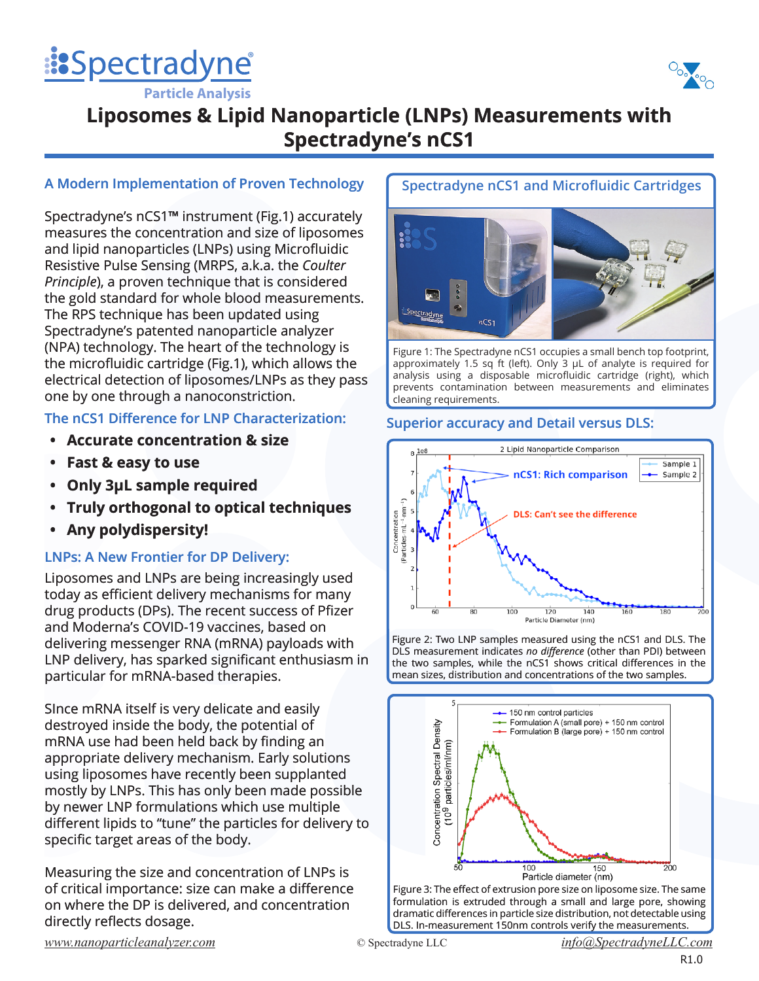



**Particle Analysis**

# **Liposomes & Lipid Nanoparticle (LNPs) Measurements with Spectradyne's nCS1**

## **A Modern Implementation of Proven Technology**

Spectradyne's nCS1**™** instrument (Fig.1) accurately measures the concentration and size of liposomes and lipid nanoparticles (LNPs) using Microfluidic Resistive Pulse Sensing (MRPS, a.k.a. the *Coulter Principle*), a proven technique that is considered the gold standard for whole blood measurements. The RPS technique has been updated using Spectradyne's patented nanoparticle analyzer (NPA) technology. The heart of the technology is the microfluidic cartridge (Fig.1), which allows the electrical detection of liposomes/LNPs as they pass one by one through a nanoconstriction.

## **The nCS1 Difference for LNP Characterization:**

- **• Accurate concentration & size**
- **• Fast & easy to use**
- **• Only 3μL sample required**
- **• Truly orthogonal to optical techniques**
- **• Any polydispersity!**

## **LNPs: A New Frontier for DP Delivery:**

Liposomes and LNPs are being increasingly used today as efficient delivery mechanisms for many drug products (DPs). The recent success of Pfizer and Moderna's COVID-19 vaccines, based on delivering messenger RNA (mRNA) payloads with LNP delivery, has sparked significant enthusiasm in particular for mRNA-based therapies.

SInce mRNA itself is very delicate and easily destroyed inside the body, the potential of mRNA use had been held back by finding an appropriate delivery mechanism. Early solutions using liposomes have recently been supplanted mostly by LNPs. This has only been made possible by newer LNP formulations which use multiple different lipids to "tune" the particles for delivery to specific target areas of the body.

Measuring the size and concentration of LNPs is of critical importance: size can make a difference on where the DP is delivered, and concentration directly reflects dosage.

## **Spectradyne nCS1 and Microfluidic Cartridges**



Figure 1: The Spectradyne nCS1 occupies a small bench top footprint, approximately 1.5 sq ft (left). Only 3 μL of analyte is required for analysis using a disposable microfluidic cartridge (right), which prevents contamination between measurements and eliminates cleaning requirements.

## **Superior accuracy and Detail versus DLS:**



Figure 2: Two LNP samples measured using the nCS1 and DLS. The DLS measurement indicates *no difference* (other than PDI) between the two samples, while the nCS1 shows critical differences in the mean sizes, distribution and concentrations of the two samples.



Figure 3: The effect of extrusion pore size on liposome size. The same formulation is extruded through a small and large pore, showing dramatic differences in particle size distribution, not detectable using DLS. In-measurement 150nm controls verify the measurements.